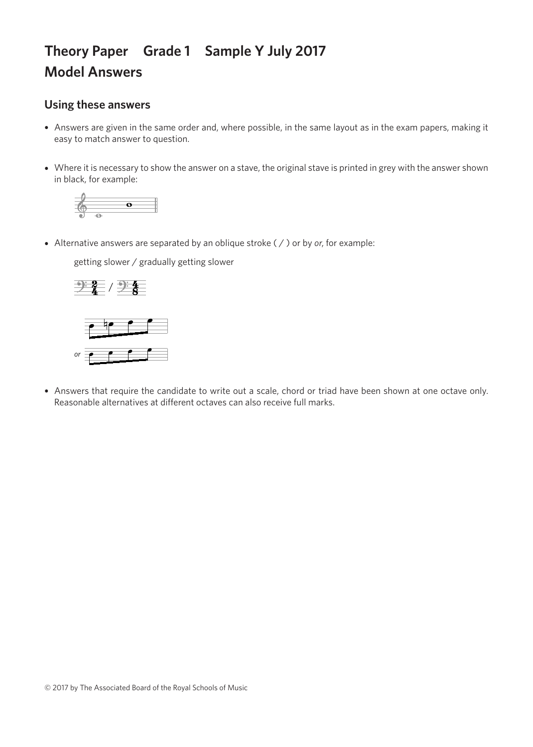## **Theory Paper Grade 1 Sample Y July 2017 Model Answers**

## **Using these answers**

- Answers are given in the same order and, where possible, in the same layout as in the exam papers, making it easy to match answer to question.
- Where it is necessary to show the answer on a stave, the original stave is printed in grey with the answer shown in black, for example:



• Alternative answers are separated by an oblique stroke ( / ) or by *or*, for example:

getting slower / gradually getting slower getting slower / gradually getting slower getting slower / gradually getting slower getting slower / gradually getting slower





• Answers that require the candidate to write out a scale, chord or triad have been shown at one octave only. Reasonable alternatives at different octaves can also receive full marks.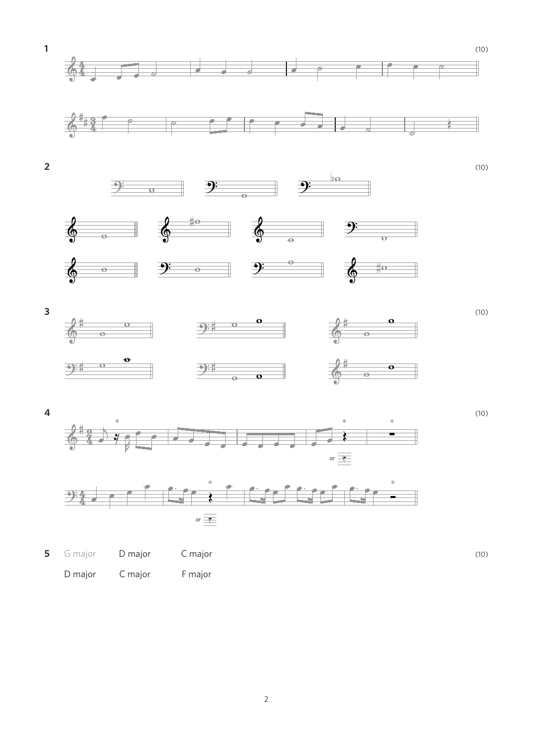













**5** G major **D major C major C major** (10) D major C major F major